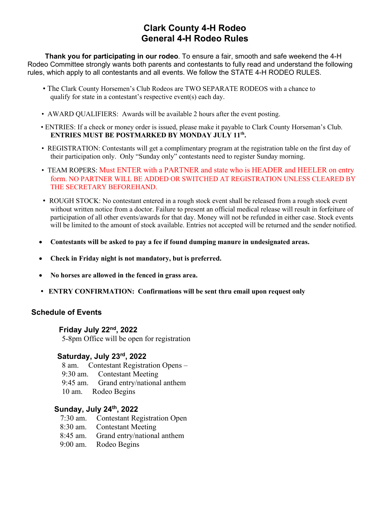## **Clark County 4-H Rodeo General 4-H Rodeo Rules**

 **Thank you for participating in our rodeo**. To ensure a fair, smooth and safe weekend the 4-H Rodeo Committee strongly wants both parents and contestants to fully read and understand the following rules, which apply to all contestants and all events. We follow the STATE 4-H RODEO RULES.

- The Clark County Horsemen's Club Rodeos are TWO SEPARATE RODEOS with a chance to qualify for state in a contestant's respective event(s) each day.
- AWARD QUALIFIERS: Awards will be available 2 hours after the event posting.
- ENTRIES: If a check or money order is issued, please make it payable to Clark County Horseman's Club. **ENTRIES MUST BE POSTMARKED BY MONDAY JULY 11th.**
- REGISTRATION: Contestants will get a complimentary program at the registration table on the first day of their participation only. Only "Sunday only" contestants need to register Sunday morning.
- TEAM ROPERS: Must ENTER with a PARTNER and state who is HEADER and HEELER on entry form. NO PARTNER WILL BE ADDED OR SWITCHED AT REGISTRATION UNLESS CLEARED BY THE SECRETARY BEFOREHAND.
- ROUGH STOCK: No contestant entered in a rough stock event shall be released from a rough stock event without written notice from a doctor. Failure to present an official medical release will result in forfeiture of participation of all other events/awards for that day. Money will not be refunded in either case. Stock events will be limited to the amount of stock available. Entries not accepted will be returned and the sender notified.
- **Contestants will be asked to pay a fee if found dumping manure in undesignated areas.**
- **Check in Friday night is not mandatory, but is preferred.**
- **No horses are allowed in the fenced in grass area.**
- **• ENTRY CONFIRMATION: Confirmations will be sent thru email upon request only**

### **Schedule of Events**

 **Friday July 22nd, 2022** 5-8pm Office will be open for registration

### **Saturday, July 23rd, 2022**

8 am. Contestant Registration Opens –

- 9:30 am. Contestant Meeting
- 9:45 am. Grand entry/national anthem
- 10 am. Rodeo Begins

#### **Sunday, July 24th, 2022**

- 7:30 am. Contestant Registration Open
- 8:30 am. Contestant Meeting
- 8:45 am. Grand entry/national anthem
- 9:00 am. Rodeo Begins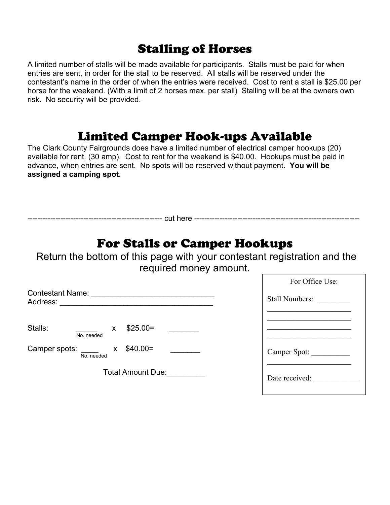# Stalling of Horses

A limited number of stalls will be made available for participants. Stalls must be paid for when entries are sent, in order for the stall to be reserved. All stalls will be reserved under the contestant's name in the order of when the entries were received. Cost to rent a stall is \$25.00 per horse for the weekend. (With a limit of 2 horses max. per stall) Stalling will be at the owners own risk. No security will be provided.

# Limited Camper Hook-ups Available

The Clark County Fairgrounds does have a limited number of electrical camper hookups (20) available for rent. (30 amp). Cost to rent for the weekend is \$40.00. Hookups must be paid in advance, when entries are sent. No spots will be reserved without payment. **You will be assigned a camping spot.**

# For Stalls or Camper Hookups

----------------------------------------------------- cut here -----------------------------------------------------------------

Return the bottom of this page with your contestant registration and the required money amount.

| <b>Contestant Name:</b> |                                         |  |
|-------------------------|-----------------------------------------|--|
| Address:                |                                         |  |
|                         |                                         |  |
|                         |                                         |  |
| ---                     | $\bullet$ $\bullet$ $\bullet$ $\bullet$ |  |

Stalls:  $\frac{1}{N_0 \text{ needed}}$  x \$25.00=

Camper spots:  $\frac{1}{\text{No. needed}}$  x \$40.00=

Total Amount Due:\_\_\_\_\_\_\_\_\_

| For Office Use:       |  |
|-----------------------|--|
| <b>Stall Numbers:</b> |  |
|                       |  |
|                       |  |
|                       |  |
| Camper Spot:          |  |
|                       |  |
| Date received:        |  |
|                       |  |